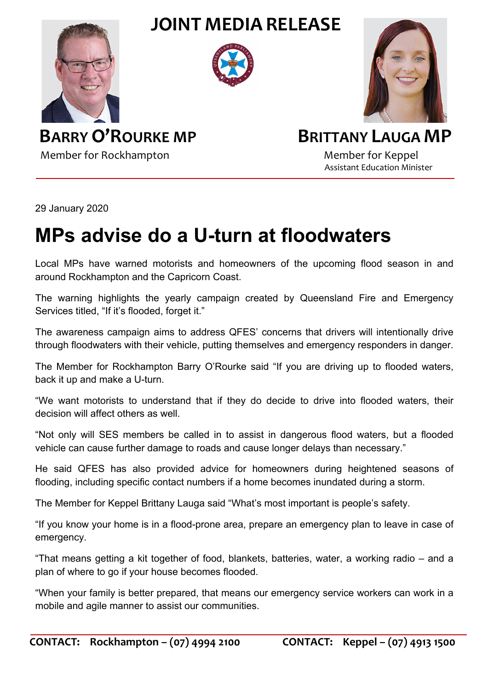**JOINT MEDIA RELEASE**







**BARRY O'ROURKE MP** BRITTANY LAUGA MP Member for Rockhampton Member for Keppel

Assistant Education Minister

29 January 2020

## **MPs advise do a U-turn at floodwaters**

Local MPs have warned motorists and homeowners of the upcoming flood season in and around Rockhampton and the Capricorn Coast.

The warning highlights the yearly campaign created by Queensland Fire and Emergency Services titled, "If it's flooded, forget it."

The awareness campaign aims to address QFES' concerns that drivers will intentionally drive through floodwaters with their vehicle, putting themselves and emergency responders in danger.

The Member for Rockhampton Barry O'Rourke said "If you are driving up to flooded waters, back it up and make a U-turn.

"We want motorists to understand that if they do decide to drive into flooded waters, their decision will affect others as well.

"Not only will SES members be called in to assist in dangerous flood waters, but a flooded vehicle can cause further damage to roads and cause longer delays than necessary."

He said QFES has also provided advice for homeowners during heightened seasons of flooding, including specific contact numbers if a home becomes inundated during a storm.

The Member for Keppel Brittany Lauga said "What's most important is people's safety.

"If you know your home is in a flood-prone area, prepare an emergency plan to leave in case of emergency.

"That means getting a kit together of food, blankets, batteries, water, a working radio – and a plan of where to go if your house becomes flooded.

"When your family is better prepared, that means our emergency service workers can work in a mobile and agile manner to assist our communities.